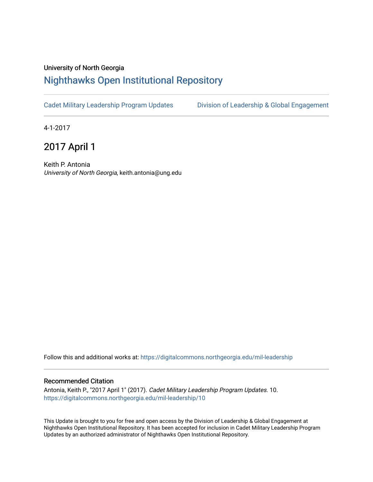## University of North Georgia

## [Nighthawks Open Institutional Repository](https://digitalcommons.northgeorgia.edu/)

[Cadet Military Leadership Program Updates](https://digitalcommons.northgeorgia.edu/mil-leadership) [Division of Leadership & Global Engagement](https://digitalcommons.northgeorgia.edu/leadership) 

4-1-2017

2017 April 1

Keith P. Antonia University of North Georgia, keith.antonia@ung.edu

Follow this and additional works at: [https://digitalcommons.northgeorgia.edu/mil-leadership](https://digitalcommons.northgeorgia.edu/mil-leadership?utm_source=digitalcommons.northgeorgia.edu%2Fmil-leadership%2F10&utm_medium=PDF&utm_campaign=PDFCoverPages) 

## Recommended Citation

Antonia, Keith P., "2017 April 1" (2017). Cadet Military Leadership Program Updates. 10. [https://digitalcommons.northgeorgia.edu/mil-leadership/10](https://digitalcommons.northgeorgia.edu/mil-leadership/10?utm_source=digitalcommons.northgeorgia.edu%2Fmil-leadership%2F10&utm_medium=PDF&utm_campaign=PDFCoverPages)

This Update is brought to you for free and open access by the Division of Leadership & Global Engagement at Nighthawks Open Institutional Repository. It has been accepted for inclusion in Cadet Military Leadership Program Updates by an authorized administrator of Nighthawks Open Institutional Repository.